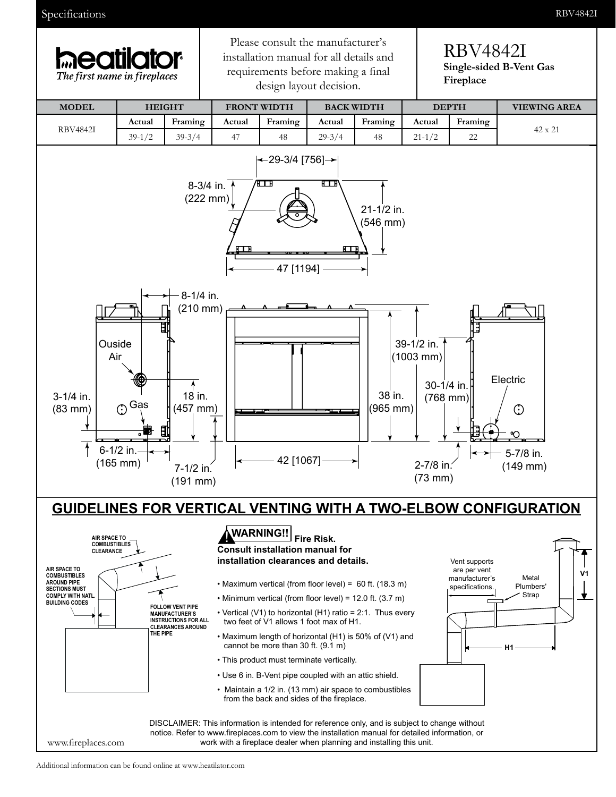